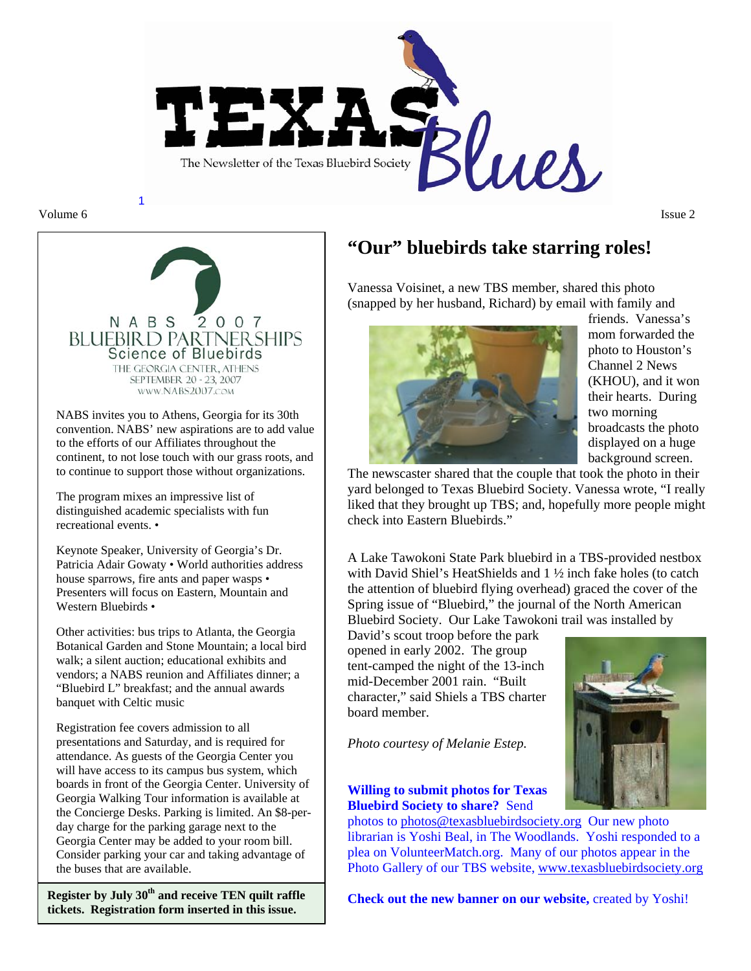

Volume 6 **Issue 2** Issue 2



NABS invites you to Athens, Georgia for its 30th convention. NABS' new aspirations are to add value to the efforts of our Affiliates throughout the continent, to not lose touch with our grass roots, and to continue to support those without organizations.

The program mixes an impressive list of distinguished academic specialists with fun recreational events. •

Keynote Speaker, University of Georgia's Dr. Patricia Adair Gowaty • World authorities address house sparrows, fire ants and paper wasps • Presenters will focus on Eastern, Mountain and Western Bluebirds •

Other activities: bus trips to Atlanta, the Georgia Botanical Garden and Stone Mountain; a local bird walk; a silent auction; educational exhibits and vendors; a NABS reunion and Affiliates dinner; a "Bluebird L" breakfast; and the annual awards banquet with Celtic music

Registration fee covers admission to all presentations and Saturday, and is required for attendance. As guests of the Georgia Center you will have access to its campus bus system, which boards in front of the Georgia Center. University of Georgia Walking Tour information is available at the Concierge Desks. Parking is limited. An \$8-perday charge for the parking garage next to the Georgia Center may be added to your room bill. Consider parking your car and taking advantage of the buses that are available.

**Register by July 30th and receive TEN quilt raffle tickets. Registration form inserted in this issue.** 

# **"Our" bluebirds take starring roles!**

Vanessa Voisinet, a new TBS member, shared this photo (snapped by her husband, Richard) by email with family and



friends. Vanessa's mom forwarded the photo to Houston's Channel 2 News (KHOU), and it won their hearts. During two morning broadcasts the photo displayed on a huge background screen.

The newscaster shared that the couple that took the photo in their yard belonged to Texas Bluebird Society. Vanessa wrote, "I really liked that they brought up TBS; and, hopefully more people might check into Eastern Bluebirds."

A Lake Tawokoni State Park bluebird in a TBS-provided nestbox with David Shiel's HeatShields and 1 ½ inch fake holes (to catch the attention of bluebird flying overhead) graced the cover of the Spring issue of "Bluebird," the journal of the North American Bluebird Society. Our Lake Tawokoni trail was installed by

David's scout troop before the park opened in early 2002. The group tent-camped the night of the 13-inch mid-December 2001 rain. "Built character," said Shiels a TBS charter board member.

*Photo courtesy of Melanie Estep.* 

#### **Willing to submit photos for Texas Bluebird Society to share?** Send

photos to photos@texasbluebirdsociety.org Our new photo librarian is Yoshi Beal, in The Woodlands. Yoshi responded to a plea on VolunteerMatch.org. Many of our photos appear in the Photo Gallery of our TBS website, www.texasbluebirdsociety.org

**Check out the new banner on our website, created by Yoshi!** 

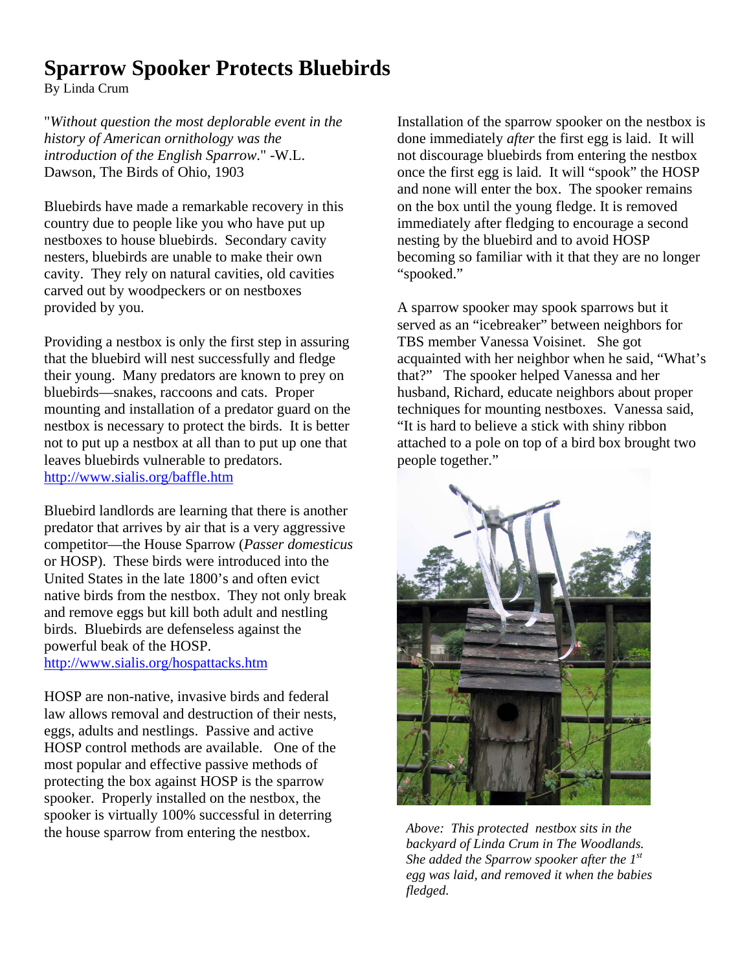# **Sparrow Spooker Protects Bluebirds**

By Linda Crum

"*Without question the most deplorable event in the history of American ornithology was the introduction of the English Sparrow*." -W.L. Dawson, The Birds of Ohio, 1903

Bluebirds have made a remarkable recovery in this country due to people like you who have put up nestboxes to house bluebirds. Secondary cavity nesters, bluebirds are unable to make their own cavity. They rely on natural cavities, old cavities carved out by woodpeckers or on nestboxes provided by you.

Providing a nestbox is only the first step in assuring that the bluebird will nest successfully and fledge their young. Many predators are known to prey on bluebirds—snakes, raccoons and cats. Proper mounting and installation of a predator guard on the nestbox is necessary to protect the birds. It is better not to put up a nestbox at all than to put up one that leaves bluebirds vulnerable to predators. http://www.sialis.org/baffle.htm

Bluebird landlords are learning that there is another predator that arrives by air that is a very aggressive competitor—the House Sparrow (*Passer domesticus* or HOSP). These birds were introduced into the United States in the late 1800's and often evict native birds from the nestbox. They not only break and remove eggs but kill both adult and nestling birds. Bluebirds are defenseless against the powerful beak of the HOSP. http://www.sialis.org/hospattacks.htm

HOSP are non-native, invasive birds and federal law allows removal and destruction of their nests, eggs, adults and nestlings. Passive and active HOSP control methods are available. One of the most popular and effective passive methods of protecting the box against HOSP is the sparrow spooker. Properly installed on the nestbox, the spooker is virtually 100% successful in deterring the house sparrow from entering the nestbox.

Installation of the sparrow spooker on the nestbox is done immediately *after* the first egg is laid. It will not discourage bluebirds from entering the nestbox once the first egg is laid. It will "spook" the HOSP and none will enter the box. The spooker remains on the box until the young fledge. It is removed immediately after fledging to encourage a second nesting by the bluebird and to avoid HOSP becoming so familiar with it that they are no longer "spooked."

A sparrow spooker may spook sparrows but it served as an "icebreaker" between neighbors for TBS member Vanessa Voisinet. She got acquainted with her neighbor when he said, "What's that?" The spooker helped Vanessa and her husband, Richard, educate neighbors about proper techniques for mounting nestboxes. Vanessa said, "It is hard to believe a stick with shiny ribbon attached to a pole on top of a bird box brought two people together."



*Above: This protected nestbox sits in the backyard of Linda Crum in The Woodlands.*  She added the Sparrow spooker after the 1<sup>st</sup> *egg was laid, and removed it when the babies fledged.*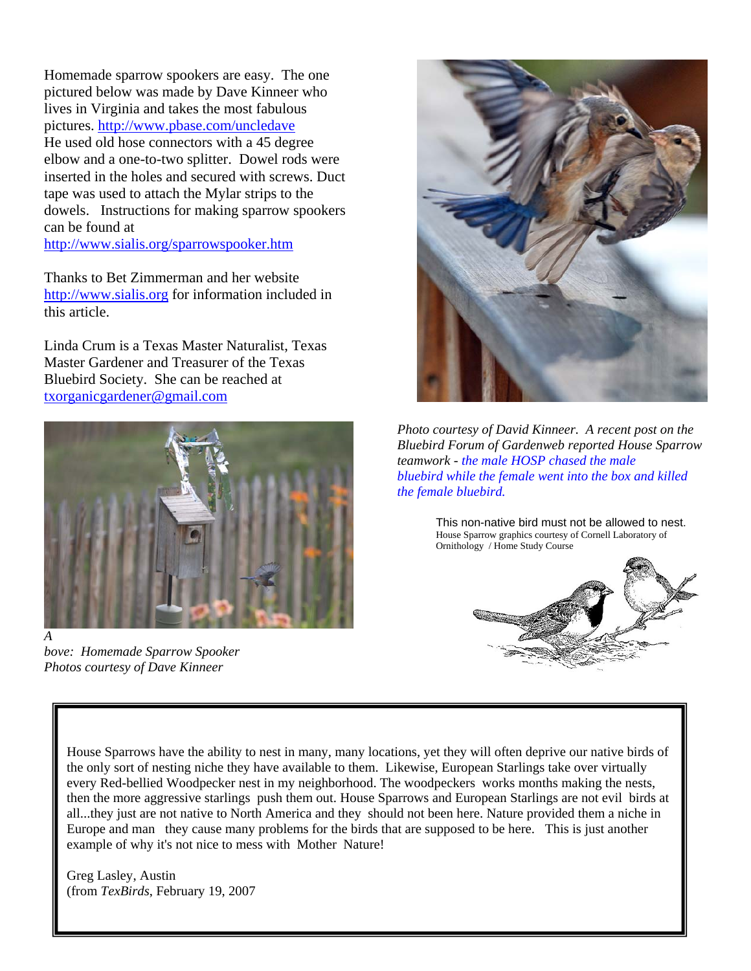Homemade sparrow spookers are easy. The one pictured below was made by Dave Kinneer who lives in Virginia and takes the most fabulous pictures. http://www.pbase.com/uncledave He used old hose connectors with a 45 degree elbow and a one-to-two splitter. Dowel rods were inserted in the holes and secured with screws. Duct tape was used to attach the Mylar strips to the dowels. Instructions for making sparrow spookers can be found at

http://www.sialis.org/sparrowspooker.htm

Thanks to Bet Zimmerman and her website http://www.sialis.org for information included in this article.

Linda Crum is a Texas Master Naturalist, Texas Master Gardener and Treasurer of the Texas Bluebird Society. She can be reached at txorganicgardener@gmail.com



*bove: Homemade Sparrow Spooker Photos courtesy of Dave Kinneer* 



*Photo courtesy of David Kinneer. A recent post on the Bluebird Forum of Gardenweb reported House Sparrow teamwork - the male HOSP chased the male bluebird while the female went into the box and killed the female bluebird.* 

This non-native bird must not be allowed to nest. House Sparrow graphics courtesy of Cornell Laboratory of Ornithology / Home Study Course



House Sparrows have the ability to nest in many, many locations, yet they will often deprive our native birds of the only sort of nesting niche they have available to them. Likewise, European Starlings take over virtually every Red-bellied Woodpecker nest in my neighborhood. The woodpeckers works months making the nests, then the more aggressive starlings push them out. House Sparrows and European Starlings are not evil birds at all...they just are not native to North America and they should not been here. Nature provided them a niche in Europe and man they cause many problems for the birds that are supposed to be here. This is just another example of why it's not nice to mess with Mother Nature!

Greg Lasley, Austin (from *TexBirds*, February 19, 2007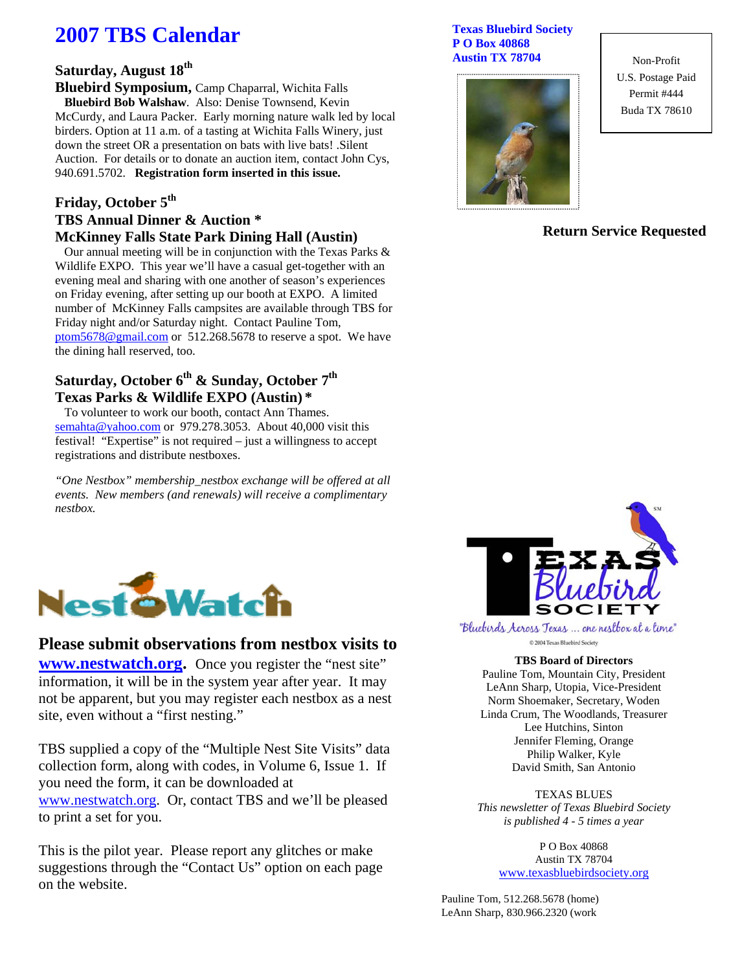# **2007 TBS Calendar**

#### **Saturday, August 18th**

**Bluebird Symposium,** Camp Chaparral, Wichita Falls  **Bluebird Bob Walshaw**. Also: Denise Townsend, Kevin McCurdy, and Laura Packer. Early morning nature walk led by local birders. Option at 11 a.m. of a tasting at Wichita Falls Winery, just down the street OR a presentation on bats with live bats! .Silent Auction. For details or to donate an auction item, contact John Cys, 940.691.5702. **Registration form inserted in this issue.** 

#### Friday, October 5<sup>th</sup> **TBS Annual Dinner & Auction \* McKinney Falls State Park Dining Hall (Austin)**

 Our annual meeting will be in conjunction with the Texas Parks & Wildlife EXPO. This year we'll have a casual get-together with an evening meal and sharing with one another of season's experiences on Friday evening, after setting up our booth at EXPO. A limited number of McKinney Falls campsites are available through TBS for Friday night and/or Saturday night. Contact Pauline Tom, ptom5678@gmail.com or 512.268.5678 to reserve a spot. We have the dining hall reserved, too.

#### Saturday, October 6<sup>th</sup> & Sunday, October 7<sup>th</sup> **Texas Parks & Wildlife EXPO (Austin) \***

 To volunteer to work our booth, contact Ann Thames. semahta@yahoo.com or 979.278.3053. About 40,000 visit this festival! "Expertise" is not required – just a willingness to accept registrations and distribute nestboxes.

*"One Nestbox" membership\_nestbox exchange will be offered at all events. New members (and renewals) will receive a complimentary nestbox.* 



#### **Please submit observations from nestbox visits to**

**www.nestwatch.org.** Once you register the "nest site" information, it will be in the system year after year. It may not be apparent, but you may register each nestbox as a nest site, even without a "first nesting."

TBS supplied a copy of the "Multiple Nest Site Visits" data collection form, along with codes, in Volume 6, Issue 1. If you need the form, it can be downloaded at www.nestwatch.org. Or, contact TBS and we'll be pleased to print a set for you.

This is the pilot year. Please report any glitches or make suggestions through the "Contact Us" option on each page on the website.

#### **Texas Bluebird Society P O Box 40868 Austin TX 78704**



Non-Profit U.S. Postage Paid Permit #444 Buda TX 78610

#### **Return Service Requested**



"Bluebirds Across Texas ... one nestbox at a time" C 2004 Texas Bluebird Society

#### **TBS Board of Directors**

Pauline Tom, Mountain City, President LeAnn Sharp, Utopia, Vice-President Norm Shoemaker, Secretary, Woden Linda Crum, The Woodlands, Treasurer Lee Hutchins, Sinton Jennifer Fleming, Orange Philip Walker, Kyle David Smith, San Antonio

TEXAS BLUES *This newsletter of Texas Bluebird Society is published 4 - 5 times a year* 

> P O Box 40868 Austin TX 78704 www.texasbluebirdsociety.org

Pauline Tom, 512.268.5678 (home) LeAnn Sharp, 830.966.2320 (work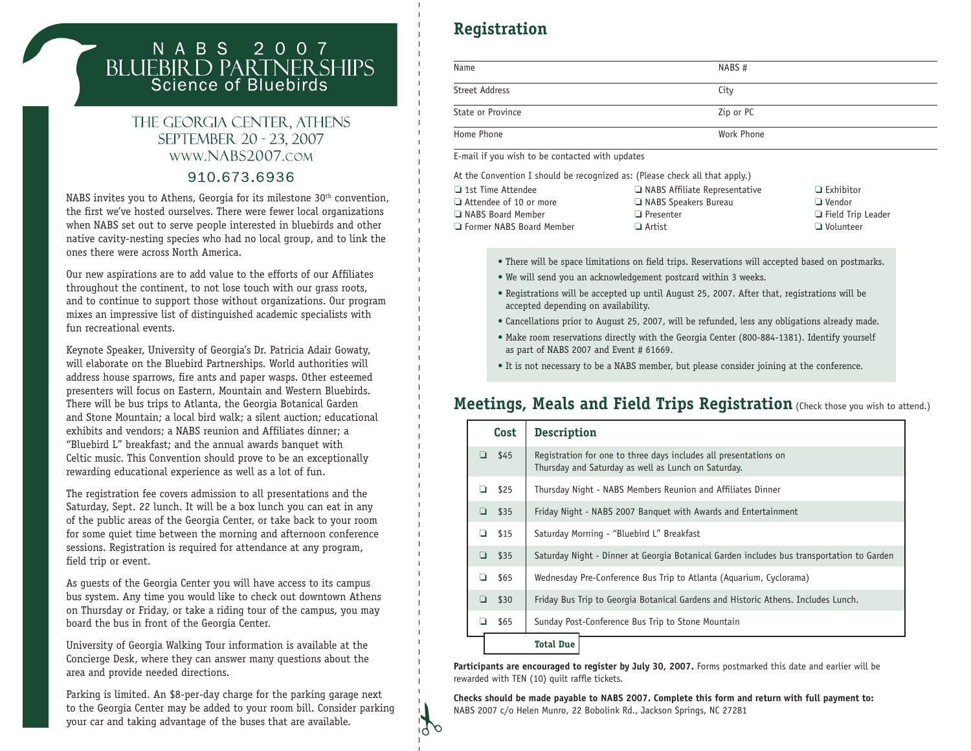# N A B S 2 0 0 7<br>BLUEBIRD PARTNERSHIPS<br>Science of Bluebirds

#### THE GEORGIA CENTER, ATHENS SEPTEMBER 20 - 23, 2007 WWW.NABS2007.COM

#### 910.673.6936

NABS invites you to Athens, Georgia for its milestone 30<sup>th</sup> convention, the first we've hosted ourselves. There were fewer local organizations when NABS set out to serve people interested in bluebirds and other native cavity-nesting species who had no local group, and to link the ones there were across North America.

Our new aspirations are to add value to the efforts of our Affiliates throughout the continent, to not lose touch with our grass roots, and to continue to support those without organizations. Our program mixes an impressive list of distinguished academic specialists with fun recreational events.

Keynote Speaker, University of Georgia's Dr. Patricia Adair Gowaty, will elaborate on the Bluebird Partnerships. World authorities will address house sparrows, fire ants and paper wasps. Other esteemed presenters will focus on Eastern, Mountain and Western Bluebirds. There will be bus trips to Atlanta, the Georgia Botanical Garden and Stone Mountain; a local bird walk; a silent auction; educational exhibits and vendors; a NABS reunion and Affiliates dinner; a "Bluebird L" breakfast; and the annual awards banquet with Celtic music. This Convention should prove to be an exceptionally rewarding educational experience as well as a lot of fun.

The registration fee covers admission to all presentations and the Saturday, Sept. 22 lunch. It will be a box lunch you can eat in any of the public areas of the Georgia Center, or take back to your room for some quiet time between the morning and afternoon conference sessions. Registration is required for attendance at any program, field trip or event.

As guests of the Georgia Center you will have access to its campus bus system. Any time you would like to check out downtown Athens on Thursday or Friday, or take a riding tour of the campus, you may board the bus in front of the Georgia Center.

University of Georgia Walking Tour information is available at the Concierge Desk, where they can answer many questions about the area and provide needed directions.

Parking is limited. An \$8-per-day charge for the parking garage next to the Georgia Center may be added to your room bill. Consider parking your car and taking advantage of the buses that are available.

# **Registration**

| Name              | NABS#      |
|-------------------|------------|
| Street Address    | City       |
| State or Province | Zip or PC  |
| Home Phone        | Work Phone |

E-mail if you wish to be contacted with updates

At the Convention I should be recognized as: (Please check all that apply.)

| $\Box$ 1st Time Attendee      | $\Box$ NABS Affiliate Representative | $\Box$ Exhibitor         |
|-------------------------------|--------------------------------------|--------------------------|
| $\Box$ Attendee of 10 or more | NABS Speakers Bureau                 | $\Box$ Vendor            |
| I NABS Board Member           | $\Box$ Presenter                     | $\Box$ Field Trip Leader |
| □ Former NABS Board Member    | $\Box$ Artist                        | $\Box$ Volunteer         |
|                               |                                      |                          |

- There will be space limitations on field trips. Reservations will accepted based on postmarks.
- We will send you an acknowledgement postcard within 3 weeks.
- Registrations will be accepted up until August 25, 2007. After that, registrations will be accepted depending on availability.
- Cancellations prior to August 25, 2007, will be refunded, less any obligations already made.
- Make room reservations directly with the Georgia Center (800-884-1381). Identify yourself as part of NABS 2007 and Event # 61669.
- It is not necessary to be a NABS member, but please consider joining at the conference.

### **Meetings, Meals and Field Trips Registration** (Check those you wish to attend.)

| Cost      | <b>Description</b>                                                                                                      |
|-----------|-------------------------------------------------------------------------------------------------------------------------|
| \$45<br>◘ | Registration for one to three days includes all presentations on<br>Thursday and Saturday as well as Lunch on Saturday. |
| \$25<br>⊔ | Thursday Night - NABS Members Reunion and Affiliates Dinner                                                             |
| \$35<br>❏ | Friday Night - NABS 2007 Banquet with Awards and Entertainment                                                          |
| \$15<br>◘ | Saturday Morning - "Bluebird L" Breakfast                                                                               |
| o<br>\$35 | Saturday Night - Dinner at Georgia Botanical Garden includes bus transportation to Garden                               |
| \$65<br>◘ | Wednesday Pre-Conference Bus Trip to Atlanta (Aquarium, Cyclorama)                                                      |
| \$30<br>❏ | Friday Bus Trip to Georgia Botanical Gardens and Historic Athens. Includes Lunch.                                       |
| \$65      | Sunday Post-Conference Bus Trip to Stone Mountain                                                                       |
|           | <b>Total Due</b>                                                                                                        |

**Participants are encouraged to register by July 30, 2007.** Forms postmarked this date and earlier will be rewarded with TEN (10) quilt raffle tickets.

**Checks should be made payable to NABS 2007. Complete this form and return with full payment to:** NABS 2007 c/o Helen Munro, 22 Bobolink Rd., Jackson Springs, NC 27281